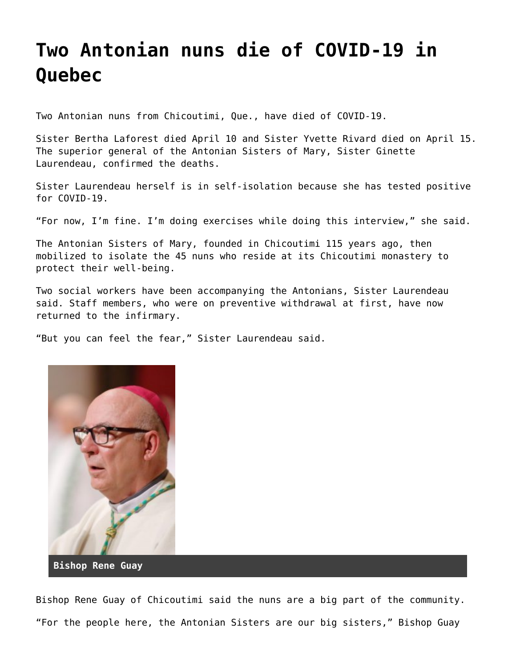## **[Two Antonian nuns die of COVID-19 in](https://grandinmedia.ca/two-antonian-nuns-die-of-covid-19-in-quebec/) [Quebec](https://grandinmedia.ca/two-antonian-nuns-die-of-covid-19-in-quebec/)**

Two Antonian nuns from Chicoutimi, Que., have died of COVID-19.

Sister Bertha Laforest died April 10 and Sister Yvette Rivard died on April 15. The superior general of the Antonian Sisters of Mary, Sister Ginette Laurendeau, confirmed the deaths.

Sister Laurendeau herself is in self-isolation because she has tested positive for COVID-19.

"For now, I'm fine. I'm doing exercises while doing this interview," she said.

The Antonian Sisters of Mary, founded in Chicoutimi 115 years ago, then mobilized to isolate the 45 nuns who reside at its Chicoutimi monastery to protect their well-being.

Two social workers have been accompanying the Antonians, Sister Laurendeau said. Staff members, who were on preventive withdrawal at first, have now returned to the infirmary.

"But you can feel the fear," Sister Laurendeau said.



Bishop Rene Guay of Chicoutimi said the nuns are a big part of the community. "For the people here, the Antonian Sisters are our big sisters," Bishop Guay